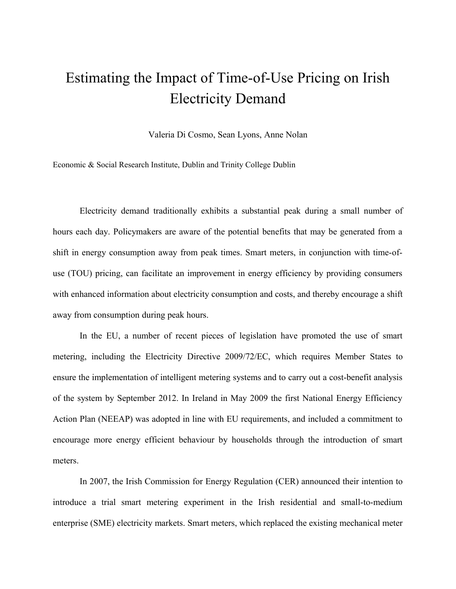## Estimating the Impact of Time-of-Use Pricing on Irish Electricity Demand

Valeria Di Cosmo, Sean Lyons, Anne Nolan

Economic & Social Research Institute, Dublin and Trinity College Dublin

Electricity demand traditionally exhibits a substantial peak during a small number of hours each day. Policymakers are aware of the potential benefits that may be generated from a shift in energy consumption away from peak times. Smart meters, in conjunction with time-ofuse (TOU) pricing, can facilitate an improvement in energy efficiency by providing consumers with enhanced information about electricity consumption and costs, and thereby encourage a shift away from consumption during peak hours.

In the EU, a number of recent pieces of legislation have promoted the use of smart metering, including the Electricity Directive 2009/72/EC, which requires Member States to ensure the implementation of intelligent metering systems and to carry out a cost-benefit analysis of the system by September 2012. In Ireland in May 2009 the first National Energy Efficiency Action Plan (NEEAP) was adopted in line with EU requirements, and included a commitment to encourage more energy efficient behaviour by households through the introduction of smart meters.

In 2007, the Irish Commission for Energy Regulation (CER) announced their intention to introduce a trial smart metering experiment in the Irish residential and small-to-medium enterprise (SME) electricity markets. Smart meters, which replaced the existing mechanical meter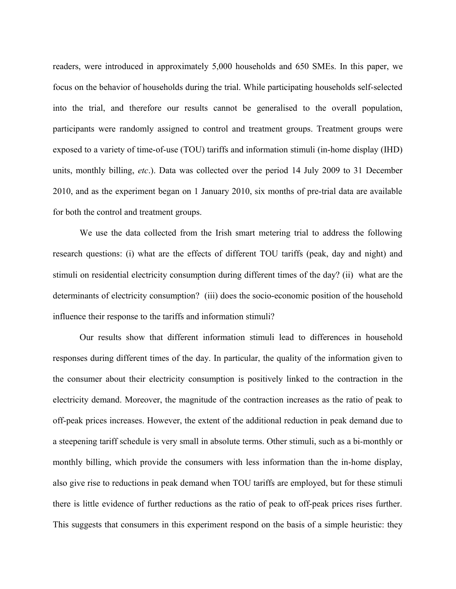readers, were introduced in approximately 5,000 households and 650 SMEs. In this paper, we focus on the behavior of households during the trial. While participating households self-selected into the trial, and therefore our results cannot be generalised to the overall population, participants were randomly assigned to control and treatment groups. Treatment groups were exposed to a variety of time-of-use (TOU) tariffs and information stimuli (in-home display (IHD) units, monthly billing, *etc*.). Data was collected over the period 14 July 2009 to 31 December 2010, and as the experiment began on 1 January 2010, six months of pre-trial data are available for both the control and treatment groups.

We use the data collected from the Irish smart metering trial to address the following research questions: (i) what are the effects of different TOU tariffs (peak, day and night) and stimuli on residential electricity consumption during different times of the day? (ii) what are the determinants of electricity consumption? (iii) does the socio-economic position of the household influence their response to the tariffs and information stimuli?

Our results show that different information stimuli lead to differences in household responses during different times of the day. In particular, the quality of the information given to the consumer about their electricity consumption is positively linked to the contraction in the electricity demand. Moreover, the magnitude of the contraction increases as the ratio of peak to off-peak prices increases. However, the extent of the additional reduction in peak demand due to a steepening tariff schedule is very small in absolute terms. Other stimuli, such as a bi-monthly or monthly billing, which provide the consumers with less information than the in-home display, also give rise to reductions in peak demand when TOU tariffs are employed, but for these stimuli there is little evidence of further reductions as the ratio of peak to off-peak prices rises further. This suggests that consumers in this experiment respond on the basis of a simple heuristic: they